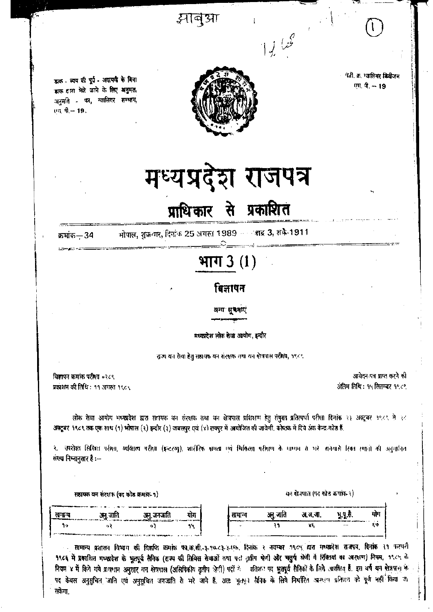झाबुआ

डाक - व्यय की पूर्व - अदायखे के बिना डाक द्वारा भेजे जाने के लिए अनुमत, अनुमति का, ग्वालियर सम्भाग, एम. पी.-- 19.

फी. क. ग्वालियर डिवीजन एम. पी. -- 19



# मध्यप्रदेश राजपत्र

## प्राधिकार से प्रकाशित

क्रमांक—34

भोपाल, शुक्रवार, दिनांक 25 अगस्त 1989 - बाह्र 3, शके-1911

### भाग  $3(1)$

#### बिज्ञापन

अन्य **सुवनाएं** 

#### मध्यप्रदेश लोक सेवा आयोग, इन्दौर

राज्य यन रोया हेतु सहायक वन संरक्षक तथा यन क्षेत्रपाल परीक्षा, १९८९

विज्ञापन कमांक परीक्षा ०२८९ प्रकशन की तिथि : ११ अगस्त १९८९

आवेदन-पत्र प्राप्त करने की अंतिम तिथि : १५ सितम्बर १९८९

वन रोधपाल (पद कोड कमांक २)

लोक सेवा आयोग भध्यप्रदेश द्वारा सतायक वन संरक्षक तथा वन क्षेत्रपाल प्रशिक्षण हेतु संयुक्त प्रतिस्पर्श परीक्षा दिनांक २३ अक्टूबर १९८९ से २८ अक्टूबर १९८९ तक एक साथ (१) भोगाल (२) इन्दौर (३) जबलपुर एवं (४) रायपुर में आयोजित की जावेगी, कोष्ठक में दिये अंक केन्द्र कोड हैं.

२. उपरोक्त सिखित पर्रेशा, व्यक्तित्व परीक्षा (इन्टरण), शारीरिक शास्त्र एवं चिकित्सा परीक्षण के माध्यम से भरे जानेयासे रिका स्थानों की अनुमानित संख्या निम्नानुसार है :--

सहायक बन संरक्षक (पद कोड क्रमांक-१)

| रामान्य<br>the companies of the company of the company of the Company of the Company of the Company of the Company of the | $-1$<br>ॱजाति<br>vm.                                                                                           | ाजात<br>чη.<br>$\sim$ and the construction of $\mathcal{L}$ , and is a simple by construction of $\mathcal{L}$ | योग |
|---------------------------------------------------------------------------------------------------------------------------|----------------------------------------------------------------------------------------------------------------|----------------------------------------------------------------------------------------------------------------|-----|
| ın                                                                                                                        |                                                                                                                |                                                                                                                | n u |
|                                                                                                                           | and the competition of the competitive competition of the competition of the competition of the competition of |                                                                                                                |     |

सामान्य प्रशासन विभाग की विज्ञप्ति कमांक फा.स.सी. ३.१९८२ ३.१६. दिनांक २ नवम्बर १९८५ दारा मध्यप्रदेश राजपत्र, दिनांक २१ फरवरी १९८६ में प्रकाशित मध्यप्रदेश के भूतपूर्व सैनिक (राज्य की सिविल सेवाओं तथा परा तृतीय श्रेणी और चतुर्थ श्रेणी में शिक्तियां का अरक्षण) नियम, १९८५ के नियम ४ में किये गये प्रावधान अनुसार वन क्षेत्रपाल (अलिपिकीय तृतीय क्षेत्री) पदों ये पतिशत पद भूतपूर्व सैनिकों के लिये अध्वतिम हैं. इस वर्ष यन क्षेत्रपाल के पद केवल अनुसूचित जाति एवं अनुसूचित जनजाति से भरे जाने हैं. अतः पूतपूर्व सैनिक के लिये निर्धारित आरमान प्रतिशत को पूर्ण नहीं किया जा सकेगा.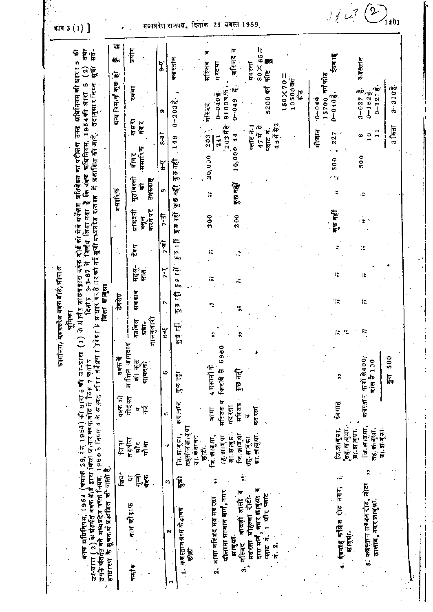| साधारण के सूचन थे प्रशंशित की जाती है.                  |                                                 | . वक्फ श्रीतिसियम, 1954 (क्रमोक 29, स्त् 1954) की धारा 5 की उन्-प्रारा<br>उप-बाग्य ( 2 ) के बांतपति बक्फ बीड़ द्वारा किया जाकर तर फवोड में 15 सं 7 केलों हैं।<br>उसके प्रतिहित्यते मध्यप्रदेश वर्षक नियम, 1960 के विगम 4 के स्र सत्त सीना संदेशण |                                              |                                     | र तेजे दे क                                                                                          | प्राधार पर तै एरको गई सूचो मध्यप्रदेश र∖जगत्त<br>जिला झाबुग्रा<br>दिना ह | $3 - 3 - 87$ H      |                | निर्णय जिया गया है          | कि व्यक्त प्रतिनियम,<br>के संतर्गत सासनद्वारा वक्क बोर्ड को सेजे सर्वेक्षण प्रतिबेदन का परीक्षण | में प्रकाशित की जाने. |                                     | तदानुसार निम्न<br>1954时 817                                      | तथा<br>F<br>۰ţ<br>47<br>उक्त अधिनियम की धारा<br>নি<br>宸<br>Ю |
|---------------------------------------------------------|-------------------------------------------------|--------------------------------------------------------------------------------------------------------------------------------------------------------------------------------------------------------------------------------------------------|----------------------------------------------|-------------------------------------|------------------------------------------------------------------------------------------------------|--------------------------------------------------------------------------|---------------------|----------------|-----------------------------|-------------------------------------------------------------------------------------------------|-----------------------|-------------------------------------|------------------------------------------------------------------|--------------------------------------------------------------|
|                                                         | शिया                                            | ि हो                                                                                                                                                                                                                                             | वक्फ क्री                                    | वक्फ में                            |                                                                                                      | टेक्सेस                                                                  |                     |                |                             | मसारिक                                                                                          |                       |                                     | অন্য বিমান কুত                                                   | ė.<br>ίŪ                                                     |
| नाम ब्रोसाफ<br>कर्मा रु                                 | $\overline{\mathbf{F}}$<br>है<br>$\overline{v}$ | तहनील<br>$\frac{\kappa}{\pi}$<br>गोजा                                                                                                                                                                                                            | नोद्गत<br>׆֘֕֘֘֘֘ <del>֖֖֖֢֘֘֘</del> ֟<br>lo | शामिल जापदाद<br>को कृत<br>प्रामदनो  | मालगुजारी<br>काबिल<br>हृद्वा-<br>ι                                                                   | মৰমাৰ                                                                    | महस्<br>सात         | 高              | करने पर<br>ग्राम्दनी<br>वस् | मुतावल्ली<br>तनख्या<br>乍                                                                        | मसारिक<br>दोगर        | खस्य<br>नव र                        | रकवा                                                             | प्रेस                                                        |
| $\boldsymbol{\alpha}$                                   | m                                               | 4                                                                                                                                                                                                                                                | ų,                                           | C                                   | $\frac{1}{6}$                                                                                        | ٠                                                                        | $\frac{1}{2}$       | न<br>7-व       | も<br>ト                      | œ                                                                                               | ζ,                    | $\frac{1}{8}$                       | c.                                                               | ቻ                                                            |
| कब्रस्तानग्राम केडावद<br>句句                             | ţ.                                              | तहसोल झा बुधा<br>【反应: 阿尔                                                                                                                                                                                                                         | कब्र स्तान                                   | कुछ न्द्वी                          | $\begin{aligned} \overline{\mathcal{B}} \cong \mathcal{L}_{\mathcal{F}}^{\mathcal{B}} \end{aligned}$ | Þ<br>I۳<br>$\mathbb{R}^d$                                                | ے<br>ب<br>p.<br>τė, | ŧ<br>ie<br>Ieo | ţ<br>آ∯<br>آ∰               | 122.66                                                                                          | कुछ नहीं              | $\frac{8}{4}$                       | $0 - 203$                                                        | कबस्तान                                                      |
|                                                         |                                                 | ग्रा कडातट                                                                                                                                                                                                                                       |                                              |                                     |                                                                                                      |                                                                          |                     |                |                             |                                                                                                 |                       |                                     |                                                                  |                                                              |
| जामा महिजद मय मदरसा                                     |                                                 | ৰি লায়নে.<br>愈色                                                                                                                                                                                                                                 | 臣行                                           | 4 मकानों के                         |                                                                                                      | ።                                                                        | ă.                  | Į,             | 300                         | F.                                                                                              | 20,000                | 203                                 | मस्जिद                                                           | मस्जिद                                                       |
| मीलाना ब्राजाद मार्ग , नगर                              |                                                 | गा.झाबुद्रा.<br>15.3177                                                                                                                                                                                                                          | मस्जिद व<br>मद रसा                           | 60<br>c9<br>किराये से               |                                                                                                      |                                                                          |                     |                |                             |                                                                                                 |                       | 720377<br>241                       | 8100年5<br>$0 - 049\frac{3}{5}$                                   | मरदसा                                                        |
| ٣<br>बावडी वाली<br>झाबुद्रा.<br>गीलद<br>ė               |                                                 | जि.झालुग्ना                                                                                                                                                                                                                                      | मस्जिद                                       | कुछ नहीं                            |                                                                                                      |                                                                          | Á                   |                | 200                         | कुछ नहीं                                                                                        | 10,000 44             |                                     | ʻho<br>$0 - 0.49$                                                | मस्जिद                                                       |
| दास मर्गि, नगर क्राबुआ व<br>मदरसा मोहल्ला रोटी-         |                                                 | <b>प्रा. झाल्यमा</b><br>तह. झ.बुद्धा                                                                                                                                                                                                             | मद रस्रा<br>Iđ                               |                                     |                                                                                                      |                                                                          |                     |                |                             |                                                                                                 |                       | प्लाट न ।<br>47 में से              |                                                                  | $65 -$<br>मद रसा<br>$\frac{80}{8}$                           |
| खाट<br>$\frac{1}{2}$ afr<br>.<br>11<br>नं.<br>सं<br>हैं |                                                 |                                                                                                                                                                                                                                                  |                                              |                                     |                                                                                                      |                                                                          |                     |                |                             |                                                                                                 |                       | 45में से 2<br>प्लाट नॅ.             | 5200 वर्ग                                                        | W<br>읂                                                       |
|                                                         |                                                 |                                                                                                                                                                                                                                                  |                                              |                                     |                                                                                                      |                                                                          |                     |                |                             |                                                                                                 |                       |                                     | 150×70=<br>10500 तर्ग                                            |                                                              |
|                                                         |                                                 |                                                                                                                                                                                                                                                  |                                              |                                     |                                                                                                      |                                                                          |                     |                |                             |                                                                                                 |                       |                                     | へに                                                               |                                                              |
|                                                         |                                                 |                                                                                                                                                                                                                                                  |                                              |                                     |                                                                                                      |                                                                          |                     |                |                             |                                                                                                 |                       | र्गाजान                             | 15700<br>$0 - 049$                                               | बर्ग फोट                                                     |
| ईदगाह कॉलेज रोड नगर;<br>म (बुप्री.<br>÷                 |                                                 | .तह.झ.बुआ.<br>ग्रा. झाबुग्रा.<br>নি: লাবুনা,                                                                                                                                                                                                     | ६ेदगाहे                                      | R                                   |                                                                                                      | œ                                                                        | ١ħ                  |                | ৰ্ভ নৱী                     |                                                                                                 | 500                   | 227                                 | $0 - 040$                                                        | ईदग ाह                                                       |
| 5. रुवस्तान सण्वन रोड, छोटा<br>तालाव, नगर झालूमा.       |                                                 | जि.शबुग्रा,<br>तह. माजूज़ा,                                                                                                                                                                                                                      |                                              | कबरनान फनों से400;<br>बांस से $100$ | F.                                                                                                   | l.                                                                       | l.                  |                | ÷,                          | ÷                                                                                               | 500                   | $\mathbf{I}$<br>$\frac{6}{10}$<br>œ | rho.<br>$0 - 121$ $\bar{5}$<br>$0 - 162\frac{3}{5}$<br>$3 - 027$ | कब्रस्तान                                                    |
|                                                         |                                                 | प्रा. स.बु.या                                                                                                                                                                                                                                    |                                              | 500<br>है।<br>इन्                   |                                                                                                      |                                                                          |                     |                |                             |                                                                                                 |                       |                                     | $3 - 310^{\frac{3}{2}}$ .                                        |                                                              |

ं भाग 3  $(1)$  1

मध्यप्रदेश राजपत्न, दिनांक 25 ग्रगस्त 1989

 $\mathcal{A}\in\mathcal{B}^{2}\left( \mathcal{D}\right) _{1\neq01}$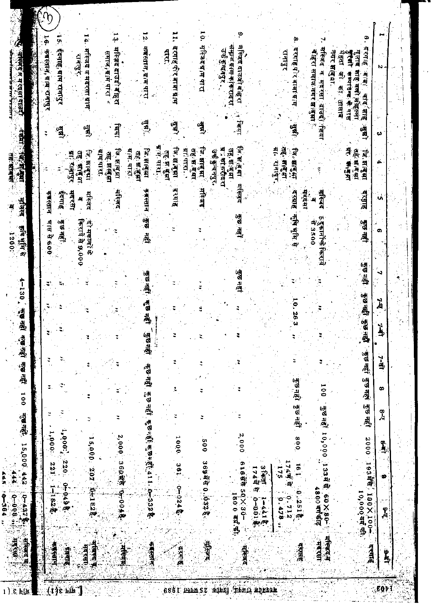| φ<br>क्छ नहीं कुछ नहीं , कुछ त्हीं, कुछ स्हीं, 411 , 0, 32 के<br>हुंछ नहीं<br>ă,<br>$\overline{5}$<br>' कुछनहों 10,000 133में से 60X8P'<br>कुछ नहीं<br>$1,000^2,220$<br>1,000.5<br>2,000<br>2,000 360 就有 10-004<br>008<br>1000<br>005<br>15,000<br>369新奇 0.632号<br>616年第50×30-<br>122<br>1744 8<br>198<br>571<br>ā<br>207 041828<br>3 Fay<br>T74T<br>on pass.<br>$0 - 0.248$<br>4<br>1800 هنا ها او<br>1600 mf. wh<br>10,000 44 明<br>0.2518<br>1828<br>0.712<br>$1 - 4418$<br>$-0-0.1$<br>0.478<br>ž<br><b>一、生活的事</b><br>संस्कृदज्<br>मदत्सा<br>集打点<br>鱼类红<br>मदासा,<br>医细胞性<br>वर्णमंत्र<br><b>संख्या</b><br>1144<br>ंदरगह<br>HIRSK | Ų                            |                                     |                                      |                                                           | ė<br>等                                                              |
|--------------------------------------------------------------------------------------------------------------------------------------------------------------------------------------------------------------------------------------------------------------------------------------------------------------------------------------------------------------------------------------------------------------------------------------------------------------------------------------------------------------------------------------------------------------------------------------------------------------------------------------|------------------------------|-------------------------------------|--------------------------------------|-----------------------------------------------------------|---------------------------------------------------------------------|
|                                                                                                                                                                                                                                                                                                                                                                                                                                                                                                                                                                                                                                      |                              | <b>STRT R 600</b>                   | क्य स्तान                            | Ξ                                                         | ٦ę.<br>कबस्तान, माम रान्।पुर                                        |
|                                                                                                                                                                                                                                                                                                                                                                                                                                                                                                                                                                                                                                      |                              | कुछ नहीं.                           | इंदगाह                               | ्तु<br>पश                                                 | ।ऽ. ईदगाह,गाम रानापुर                                               |
|                                                                                                                                                                                                                                                                                                                                                                                                                                                                                                                                                                                                                                      |                              |                                     | 如何难<br>मदरसा                         |                                                           |                                                                     |
|                                                                                                                                                                                                                                                                                                                                                                                                                                                                                                                                                                                                                                      |                              | किराये से 9,000<br><b>ET HETHLE</b> | ि मानुषा<br>तह, भागुभा<br>महिलद<br>A | $\mathbf{B}$                                              | 1 4 . महिजद व मदरसा ग्राम<br>रावापुर.                               |
|                                                                                                                                                                                                                                                                                                                                                                                                                                                                                                                                                                                                                                      |                              |                                     | प्रांभ पाउँट                         |                                                           |                                                                     |
|                                                                                                                                                                                                                                                                                                                                                                                                                                                                                                                                                                                                                                      |                              |                                     | तह झाबुझ                             | <b>Lain!</b>                                              | ہے'<br>دیک<br>मस्त्रिद दाउदो बोहरा<br>समाज,ब्राम पारा *             |
|                                                                                                                                                                                                                                                                                                                                                                                                                                                                                                                                                                                                                                      |                              |                                     | जि. साबुधा<br>संस्जिद                |                                                           |                                                                     |
|                                                                                                                                                                                                                                                                                                                                                                                                                                                                                                                                                                                                                                      |                              |                                     | प्राप्त पारा.<br>तहः स तुभा          |                                                           |                                                                     |
|                                                                                                                                                                                                                                                                                                                                                                                                                                                                                                                                                                                                                                      | कुछ नहीं कुछ नहीं<br>कुछनहीं | 医型                                  | जि.संबुध<br>कबस्तान .                | $\begin{array}{c}\n\mathbf{B} \\ \mathbf{B}\n\end{array}$ | ķ<br>कब्रस्तान, ग्राम पारा                                          |
|                                                                                                                                                                                                                                                                                                                                                                                                                                                                                                                                                                                                                                      |                              |                                     | <b>THE TRILL</b><br>गह स बुझा        |                                                           |                                                                     |
|                                                                                                                                                                                                                                                                                                                                                                                                                                                                                                                                                                                                                                      | ă                            |                                     | जि.स.बुझा<br>इंग्राह                 | انگارا<br>براهل                                           | سو<br>مېر<br>दरमाहर्पर बाक्षा ग्राम<br><b>TER</b>                   |
|                                                                                                                                                                                                                                                                                                                                                                                                                                                                                                                                                                                                                                      |                              |                                     | writers.                             |                                                           |                                                                     |
|                                                                                                                                                                                                                                                                                                                                                                                                                                                                                                                                                                                                                                      |                              |                                     | तहः स बुद्धा                         |                                                           |                                                                     |
|                                                                                                                                                                                                                                                                                                                                                                                                                                                                                                                                                                                                                                      |                              |                                     | जि.सबुम्<br>में जन्                  | اڻه<br>ر                                                  | 10. महित्रदर्भाम थारा                                               |
|                                                                                                                                                                                                                                                                                                                                                                                                                                                                                                                                                                                                                                      |                              |                                     | उर्क कुन्दनपुर,                      |                                                           |                                                                     |
|                                                                                                                                                                                                                                                                                                                                                                                                                                                                                                                                                                                                                                      |                              |                                     | तह सः बुधा<br>प्राम्हीदरा            |                                                           | सम्राज ब्राम काकरादरा<br>उर्फ कुन्दनपुर .                           |
|                                                                                                                                                                                                                                                                                                                                                                                                                                                                                                                                                                                                                                      | जुछ नहा                      | कुछ नहीं                            | जिम बन्धा<br>मस्ज़िद                 | र मिया                                                    | ة<br>मस्जिद दाउजी बोहरा                                             |
|                                                                                                                                                                                                                                                                                                                                                                                                                                                                                                                                                                                                                                      |                              |                                     |                                      |                                                           |                                                                     |
|                                                                                                                                                                                                                                                                                                                                                                                                                                                                                                                                                                                                                                      |                              |                                     |                                      |                                                           |                                                                     |
|                                                                                                                                                                                                                                                                                                                                                                                                                                                                                                                                                                                                                                      |                              |                                     | 「魚・車座台」<br>Ë<br>ंगनापुर.             |                                                           | रमाइर                                                               |
|                                                                                                                                                                                                                                                                                                                                                                                                                                                                                                                                                                                                                                      | 10.263                       | दरबाह क्षेत्र मूम से                | <b>For and H</b>                     | ्यू                                                       | ò<br>दरगाह प`ार बाबा ग्र स                                          |
|                                                                                                                                                                                                                                                                                                                                                                                                                                                                                                                                                                                                                                      |                              |                                     | 東京社                                  |                                                           |                                                                     |
|                                                                                                                                                                                                                                                                                                                                                                                                                                                                                                                                                                                                                                      |                              | 5 दुकानोंके किराये<br>- से 3500     | 쇠                                    |                                                           | चे हिरा समाज नगर झ¦बुझा ़                                           |
|                                                                                                                                                                                                                                                                                                                                                                                                                                                                                                                                                                                                                                      |                              |                                     | मस्जिद                               |                                                           | मस्जिद<br>नगर भालुवा.<br>व मदरसा दाउद्'ाशिया                        |
|                                                                                                                                                                                                                                                                                                                                                                                                                                                                                                                                                                                                                                      |                              |                                     |                                      |                                                           | का तालाब                                                            |
|                                                                                                                                                                                                                                                                                                                                                                                                                                                                                                                                                                                                                                      |                              |                                     | <b>对于"事情"的</b><br>可受到建筑              |                                                           | शुरुषी करूप<br>बेहता जी<br>गुलाब शाह वसो महल्ला<br><b>出来出身 唯 日本</b> |
| ंडूच चहीं<br>कुछ नहर<br>नुष्ठ नहीं<br>2000<br>1934年(190×100)<br>दरगाह                                                                                                                                                                                                                                                                                                                                                                                                                                                                                                                                                                | कुछ नहीं कुछ<br>.<br>∰al     | कुछ नहीं<br>÷,<br>कुछ नहीं<br>ज     | जि. साबुभा<br>व्याह                  | ्सु<br>स                                                  | ۴<br>इरगाह<br><b>Alei</b> and High                                  |
| $\frac{1}{2}$<br>œ<br>Ã                                                                                                                                                                                                                                                                                                                                                                                                                                                                                                                                                                                                              | À<br>Ń<br>₿                  | Ф<br>د                              | ė<br>u,                              | ω                                                         | Ņ                                                                   |
| Î,<br>¢<br>Å<br><b>PAL</b>                                                                                                                                                                                                                                                                                                                                                                                                                                                                                                                                                                                                           |                              |                                     |                                      |                                                           |                                                                     |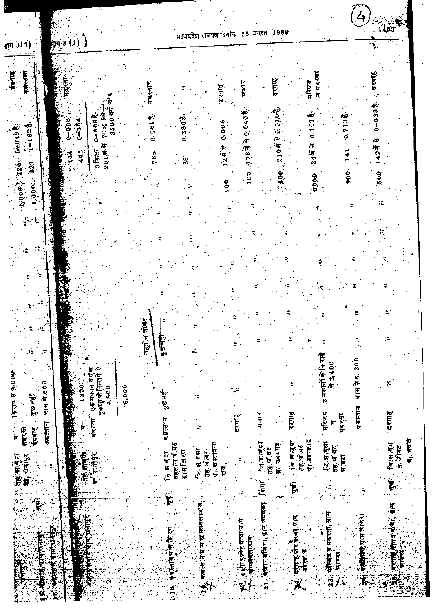|                                          |                                                                            |            |                                    |                                                 |                                                                    | 1989                                  |                                              |                           | 1403                          |
|------------------------------------------|----------------------------------------------------------------------------|------------|------------------------------------|-------------------------------------------------|--------------------------------------------------------------------|---------------------------------------|----------------------------------------------|---------------------------|-------------------------------|
| 1113(1)                                  | $\frac{1}{2}$ (1)                                                          |            |                                    | मझ्यप्रदेश राजपत दिनांक                         | $25$ ग्रगस्त                                                       |                                       |                                              |                           |                               |
| कबंदलान<br>fairs                         | <b>TELESCOPE</b><br>表面                                                     | कबस्तान    |                                    | दरगाह                                           | सर्वार                                                             | दरगाह                                 | ৰ নহংৰা<br>मस्जिद                            |                           | दरगाह                         |
| $1 - 1828$<br>1900-1-220 0-049           | 3500 वर्ग फोट<br>-00% Xer<br>$0 - 8098$<br>$0 - 364$<br>⊶ة ة ق.<br>ب<br>À  | 0.061      | $0.380\frac{4}{6}$                 | 1248 0.008                                      | 100 1787 百万0.040卷                                                  | 210月10日 10月                           | 0.1018<br>24में से                           | 0.7138                    | $0 - 0338$<br>142年日           |
| 221                                      | $3$ किस<br>445<br>201R<br>444                                              | 785        | 86                                 |                                                 |                                                                    | 500                                   |                                              | 141<br>$\frac{6}{90}$     | 5.00                          |
| 1,000.                                   |                                                                            |            |                                    | Ş,                                              |                                                                    |                                       | <b>6604</b>                                  |                           |                               |
| ل<br>تاريخ                               |                                                                            |            |                                    |                                                 |                                                                    |                                       |                                              |                           |                               |
|                                          |                                                                            |            |                                    |                                                 |                                                                    |                                       |                                              |                           |                               |
|                                          |                                                                            |            |                                    |                                                 |                                                                    |                                       |                                              |                           |                               |
|                                          |                                                                            |            |                                    |                                                 |                                                                    |                                       |                                              |                           |                               |
|                                          |                                                                            |            |                                    |                                                 |                                                                    |                                       |                                              |                           |                               |
| ₹.                                       | <b>REA</b>                                                                 | तहसील जोबट |                                    |                                                 |                                                                    |                                       |                                              |                           | ;‡                            |
| Ą                                        |                                                                            |            | 3016                               |                                                 |                                                                    |                                       |                                              |                           |                               |
|                                          | <u>दुका</u> ङ्ग के जिराये से<br>मद्दरसा एकमकानवएक                          |            |                                    |                                                 |                                                                    |                                       | <u>3 मकानों के किराये</u><br>72,400          | चास से रु. 200            | F,                            |
| किराय से 9,000<br>चास से 600<br>कुछ नहीं | 1200<br>4,800                                                              | 6,000      | कुछ नहीं<br>i.                     |                                                 |                                                                    |                                       |                                              |                           |                               |
| कबस्तान<br>मदरस<br>.<br>ए<br>ईदगाह       | $\int_0^{\infty}$                                                          |            | कझस्तान<br>÷                       |                                                 | मजार<br>दरगाह                                                      | दरगह                                  | मस्जिद                                       | कब्रस्तान<br>मदर्सा<br>io | दरगाह                         |
|                                          |                                                                            |            | तहसोंस जे.षट                       | ग्र; खण्टावला                                   | जि.स.ल.स.                                                          | ৰি:ল ৰুৱা<br>ग्रा. उदयगढ<br>तह, जं बट | ग्रा बारसंद<br>लि. झालुग्रा<br>तह,ज,बट       | तह जंबट                   | ग्रह, मवरा<br>जि.स.बुद<br>电传话 |
| रहें सानुना<br>केर रातपुर<br>ť           | तहरसंस्कृत<br>प्रा. तरीडर<br><b>TANETA</b>                                 |            | कि संबंध<br>प्रामेशिरण<br>लि म बुग | तह ज.बट<br>एष,                                  |                                                                    |                                       |                                              | पावरा                     | मुख्यम्<br>जन्म               |
| 電                                        | 零                                                                          |            | फुर्गे,                            |                                                 |                                                                    | $\tilde{\mathbf{F}}$                  |                                              |                           |                               |
|                                          |                                                                            |            |                                    |                                                 |                                                                    |                                       |                                              |                           |                               |
|                                          |                                                                            |            |                                    |                                                 |                                                                    |                                       |                                              | 一定表示,如果 中国 10             | परगाह तीन र जीन !<br>भावन्य   |
| <b>THE A</b>                             | (大学研究所)<br><b>PROTECT AT OUT OF A SET</b><br><b>SERVERS (SERVERS)</b><br>ĺ |            | 18 有效性障碍性原理                        | ो∮ुकबीरंतानंदीन खण्डातवाराव <sub>ा</sub><br>परि | १०० वर्त्याहर्षोर वाबां यान<br>१९५५ - फ्रांवरावराधिव<br>अंगडावलायव | 21. मज़ार बजिया, प्राप्त उदयाद [शिया  | ्री क्याहरी संस्था।<br>संस्कृतिहरू संस्था सम |                           |                               |
| 1000年成長大学校                               | Ĺ                                                                          |            |                                    |                                                 |                                                                    |                                       |                                              | 杗                         | X                             |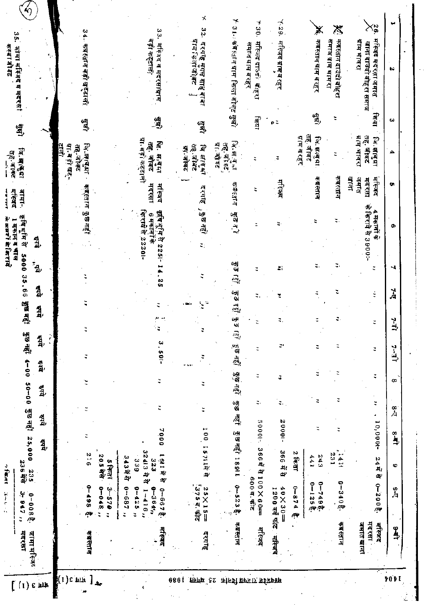|                              |                                            |                                  |               |                            |         |                    |                      |                          |              |                                                | 1 मकान ब चाल                                                      | संस्थर                          | क् <b>ह</b> बाक्ट<br>बहर बाक्ट               |                | š.<br>不可以再次                                               |                    |
|------------------------------|--------------------------------------------|----------------------------------|---------------|----------------------------|---------|--------------------|----------------------|--------------------------|--------------|------------------------------------------------|-------------------------------------------------------------------|---------------------------------|----------------------------------------------|----------------|-----------------------------------------------------------|--------------------|
| जामा मस्जित<br>मदरसा         | $\omega$<br>$0 - 0.88$ .<br>$-947n$        | $0$ 235<br>236 मेरे              | हेष्ये        | 50-00 কুড বহু। 25,000<br>4 | हैनयें  | 중의 자란 4-00<br>हैंग | 숿,                   | हुरु नहीं<br>है।<br>द्वा | 33,66<br>444 | 0000<br>$\mathbf{f}_{\mathbf{q}_{\mathrm{p}}}$ | कृषिभूमि से<br>웗                                                  | जामा-                           | 「可, 研究和                                      | $\frac{1}{2}$  | जांसा मस्त्रिद व मदरसां                                   | $\left( 0 \right)$ |
|                              |                                            |                                  |               |                            |         |                    | ŗ                    |                          |              |                                                |                                                                   |                                 | Įä,                                          |                |                                                           |                    |
| कबस्तान                      | $8 - 498$<br>$\tilde{\mathcal{L}}^{\psi}$  | 912                              |               |                            |         | 4                  |                      | ĭ                        |              |                                                |                                                                   | कब्रस्तान कुछनही                | जि. अन्बुक्षा<br>41. as fac.<br>तहे.जोक्र    | तुष्टी         | 34. कब्स्तान बड़ी खट्टाली                                 |                    |
|                              | $0 - 0$<br>$3 - 570$                       | 205 मेरे<br><b>S</b> first       |               |                            |         |                    |                      |                          |              |                                                |                                                                   |                                 |                                              |                |                                                           |                    |
|                              | $2 - 682 - 0$<br>$\ddot{ }$                | 343年3月                           |               |                            |         |                    |                      |                          |              |                                                |                                                                   |                                 |                                              |                |                                                           |                    |
|                              | $0 - 425$<br>$0 - 364$<br>$1 - 416$ ,<br>ă | 32413 육학<br>323<br>33            | 7000          | Ξ                          | ÷       | $3.501 -$          | ۰ă                   |                          |              | 14.25                                          | কিংগে দ্বীয় 2220।-<br>अचि मूमि से 2251<br><del>8 मकानों के</del> | महरसा<br>मस्पिद                 | ग्ना.बड़ा कट्टाली<br>लि. सन्बुधा<br>तह. जोबट | तुष्           | वड़ा कट्टाल/<br>मस्जिद व मदरसाधाम                         | ديا<br>تيا         |
| मस्बिद                       | 0-6678.                                    | 1617<br>41                       |               |                            |         |                    |                      |                          |              |                                                |                                                                   |                                 |                                              |                |                                                           |                    |
|                              | $5755$ $\frac{1}{37}$                      |                                  |               |                            |         |                    |                      | a single                 |              |                                                |                                                                   |                                 | तहे.जोबंट<br>गा, जोबंद                       |                | पान निर्माणीकट<br>يستنا                                   |                    |
| दरगाह                        | 25×15=                                     |                                  | 100 15711片片   | ă                          | ă       | ¢                  |                      | Ϋ́,<br>ν                 |              | 4                                              | , कुछ नहा<br>ξ.                                                   | दरगाह                           | ৰি লাম্মা                                    | बु             | दरमष्टे मुगल याह यावा                                     | x<br>32.           |
| कब्रस्तान                    | $0 - 5238$                                 |                                  | कुछनही 1891   | कुछ नहीं                   |         | हुछ नहीं कुछ नहीं  | م<br>په              | ं रहीं कुङ               | ्<br>श्र     | $\mathbb{G}$ as                                | कुछ न्।                                                           | 可取得作                            | जि.स.बु.ना<br>31 第12<br>तह. जोक्ट            |                | 3 ! ⊹ कीस्त्रान ग्राम किला जोवट सुन्ने                    | 7                  |
| र्मास्जद                     | 366年8100×60=<br>6005.412                   |                                  |               | 50001-                     | ς,      | 2                  | ÷                    |                          | ÷            | $\ddot{ }$                                     | ă,                                                                | ς                               |                                              | विद्या         | मस्जिद दाउंदी⊢बीहरा<br>समाज ग्राम बरहर                    | $\overline{1}$ 30. |
| सस्जिद                       | $-08$ X 0 <sup>t</sup><br>1200 वर्ग फाट    | 366 茸目                           |               | 20000-                     | ũ<br>ς, |                    | P,                   |                          | Y            | $\mathcal{L}$                                  |                                                                   | मस्जिद                          | þ,                                           | $\mathbf{e}$ C | मस्जिद ग्राम ब रहर                                        | $\times$ 29.       |
|                              | $0 - 874$<br>$\sigma$                      | $2 \sqrt{4 \pi}$ ता              |               |                            |         |                    |                      |                          |              |                                                |                                                                   |                                 | ग्राम बरहर                                   |                |                                                           |                    |
|                              | $0 - 7498$<br>0-125き                       | 243<br>441                       |               |                            | ะ       | ÷                  | π                    |                          | ÷            | ٣                                              |                                                                   | 布鲁氏顶                            | तह. जोक्ट<br>जि. झालु पा.                    | 粵              | कबस्तान साम ब रहर                                         | X                  |
| कब स्तान                     | $0 - 340\frac{3}{6}$ .                     | 231<br>1411                      |               | ς                          | ς       |                    | ₿                    |                          | τ            | ÷                                              | ٣                                                                 | कबस्तान                         |                                              | t              | कबस्तान दाउंदो बोहरा<br>समाज ग्राम भामरा                  | 涔                  |
| मदरसा<br>जमात खाना<br>मस्जिद | $0 - 2008$ .                               | $24\overline{R}$<br>$\mathbf{z}$ | 10,000+       | ۰                          | ¢       | ÷                  | $\ddot{\phantom{0}}$ | ă                        | ś            | ă                                              | के किराये से 3900:-<br>4 मकानों के                                | बाना<br>मस्जिद<br>जमात<br>मदरसा | ग्राम भावरा<br>तह. जीवट<br>जि.झाबुग्रा       | जिया           | मस्जिद मदरता जमात<br>ग्राम भावरा<br>खाना दाउदो बोहरा समाज | Xè                 |
| $\frac{6}{4}$                | a<br>A                                     | Ф                                | $\frac{1}{2}$ | $\frac{8}{\sqrt{4}}$       | œ       | $1 + 2$            |                      | $1+2$                    | À            | ч                                              | Ф                                                                 | ç,                              | ≏                                            | دعا            | à9                                                        | پ                  |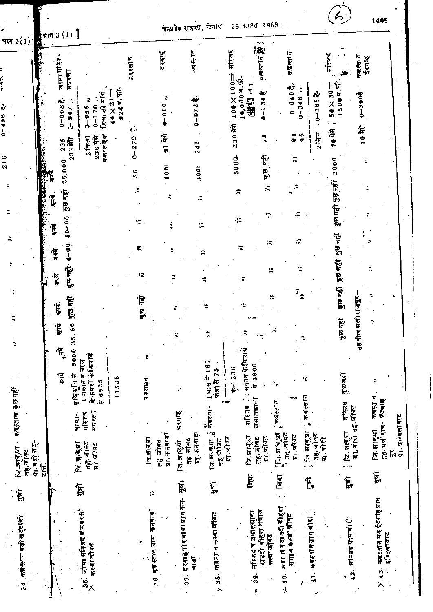|                                       |                      |                                      |                                                                    |                          |                            |                           | ख्यप्रदेश राजपत्न, दिनांक            |                                       | 25 अगस्त 1989                               |                               |                                                               |                                                                  |                                        | 1405                                              |  |
|---------------------------------------|----------------------|--------------------------------------|--------------------------------------------------------------------|--------------------------|----------------------------|---------------------------|--------------------------------------|---------------------------------------|---------------------------------------------|-------------------------------|---------------------------------------------------------------|------------------------------------------------------------------|----------------------------------------|---------------------------------------------------|--|
| भाग $3(1)$                            |                      | भाग 3 $(1)$ ]                        |                                                                    |                          |                            | दरगाह                     |                                      |                                       | मस्जिद                                      |                               |                                                               |                                                                  |                                        |                                                   |  |
|                                       |                      | जामा मस्जिन्<br>मदरसा                |                                                                    |                          | कब्रस्तान                  |                           | कब्रस्तान                            |                                       |                                             | 1446014 深                     | कब्रस्तान                                                     |                                                                  | मस्जिद<br>कब्रस्तान                    | ईदगाह                                             |  |
| ė                                     |                      | $0 - 0.088$<br>947                   | फियाजी मार्ग<br>$0 - 170$<br>$3 - 955$                             | 9247.51<br>$4 \times 21$ |                            | $0 - 010$                 | $0 - 972$ $\frac{1}{2}$              |                                       | 10,00007.97<br>$100 \times 100$<br>99121197 | $0 - 134$ $\frac{3}{6}$       | $0 - 0.40$ $\frac{4}{5}$<br>$-348$                            | $\ddot{\phantom{0}}$<br>شة<br>3885 —ل                            | $50\times30=$<br>15007.5<br>$0 - 3906$ |                                                   |  |
| 498<br>ځ                              |                      | $\frac{1}{2}$                        | $2$ किता                                                           |                          | ብር                         | 第1                        |                                      |                                       | 230裕                                        | 78                            | $\vec{a}$                                                     | $2$ $\frac{1}{2}$ $\frac{1}{2}$ $\frac{1}{2}$<br>$\frac{10}{90}$ | 第01<br>帘07                             |                                                   |  |
| 216                                   |                      | 0 235<br>236裕<br>2.5,000             | मकान एक<br>236年前                                                   |                          | $0 - 279$<br>$\frac{6}{8}$ | 1001                      | 241<br>3001                          |                                       | 5000.                                       | न्छ नहीं                      | 'n                                                            |                                                                  | 2000                                   |                                                   |  |
|                                       |                      | E<br>$\frac{1}{2}$                   |                                                                    |                          |                            |                           | €                                    |                                       | ÷,                                          | t.                            | î.<br>v                                                       |                                                                  | তুত নহাঁ                               |                                                   |  |
|                                       |                      | 50-00 कुछ नहीं<br>ţ                  |                                                                    |                          |                            |                           | 拙                                    |                                       |                                             |                               |                                                               |                                                                  | শুভ নহাঁ                               |                                                   |  |
|                                       |                      | $4 - 00$<br>हैं                      |                                                                    |                          | I.                         |                           | E,                                   |                                       | Ξ                                           | E,                            | æ                                                             |                                                                  | कुछ नहीं                               |                                                   |  |
|                                       |                      | कुछ नहीं<br>इयरे                     |                                                                    |                          | t.                         |                           |                                      | H.                                    |                                             | t.                            | 漂                                                             |                                                                  | कुछ नहीं                               |                                                   |  |
|                                       |                      | पुरु नहीं<br>$\vec{r}$               |                                                                    |                          | Þ<br>is.                   |                           |                                      |                                       |                                             | n                             |                                                               |                                                                  | কুভ নহাঁ<br>प्रतीराजपुर                |                                                   |  |
| t                                     |                      | $\ddot{\bm{6}}$<br>ţ                 |                                                                    |                          |                            |                           | $\ddot{\phantom{0}}$                 | 7                                     | Ŧ                                           |                               |                                                               | R                                                                | é<br>e<br>150<br>तहसील                 |                                                   |  |
|                                       |                      | 5000 35<br>$\mathbf{P}_{\mathbf{z}}$ |                                                                    |                          | Ğ,                         |                           |                                      |                                       | । मकान के किरायें<br>-<br>2000年             |                               |                                                               |                                                                  |                                        |                                                   |  |
|                                       |                      | $\overline{\overline{\overline{v}}}$ | के कमरों के किराय<br>1 मकान व चाल<br>र्स मौर प्रोक्<br><b>RESS</b> | 11525                    | कब्रह्मान                  |                           | Þ                                    | 19157161<br>फलों से 75                | कुल 236<br>$\ddot{r}$                       |                               | - 47                                                          | Ιņ,                                                              | कुछ नहीं                               | ×                                                 |  |
| कब्रह्सान कुछ नहीं                    |                      |                                      | मदरसा<br>मस्जिद<br>जामा-                                           |                          |                            |                           | दरगाह                                | ्री कब्रहतान                          | र्मास्जद                                    | जमातवाला                      | ्कब्रॅस्तान<br>४                                              | ू कब्रस्तान                                                      | र्मास्लद<br>प्रा.बोरी तह.जोक्ट         | कब्रहज्ञान<br>ईदगहि                               |  |
| या गड़ी खट-<br>जि.मालुझा<br>रहे. जीकट |                      |                                      | तहे.जाक्ट<br>ग्र<br>(文,明代)                                         |                          | দি দাৰ্ঘা                  | ग्रा. कतवाड़ा<br>तह, जोबट | ग्रा. कनवाड़ा<br>तह. जानट<br>15.配職 反 | ग्रा जोवट<br>जि. झाव्यु मा<br>नह∵जीवट | নি:মাৰ্মা                                   | या.जोक्ट<br>तह.जोवट           | " पि. सर्वि.या<br>"<br>"संदर्भ योजट<br>तह, जोवट<br>ग्रा.जोक्ट | ়িল-ল(ৰ্য়া<br>तहै. जोबट<br>या बोरी                              | ្រុ <sub>ជ្រ. នាផ្សេរា</sub>           | ग्रा. इ. दलावाट<br>तह मनोराज-<br>जि. झावुडा<br>Ķ, |  |
| $\widetilde{\mathbf{E}}$              | $\tilde{\mathbf{r}}$ | n                                    | Þ                                                                  |                          |                            | iŻ,                       | मूल<br>ए                             | मुन्नो<br>उ                           | शिया                                        |                               | शिया                                                          | Ë,                                                               | $\widetilde{\mathbb{E}}$               | भूषों<br>मुरु                                     |  |
|                                       |                      |                                      |                                                                    |                          |                            | कनवाड़ा                   | दरगाहे पो र बा वा प्राप्त कन-        |                                       |                                             |                               |                                                               |                                                                  |                                        |                                                   |  |
|                                       |                      |                                      | जीमा मस्जिद व मदरसा                                                |                          |                            |                           |                                      |                                       | मस्जिद व जमासखाना                           | दाउदी बोहरा समाज<br>कस्बाजीवट | क ब्रह त न दा उदी बौहरा<br>समाज कस्या जोवट                    | कब्रहरान प्राप्त बोरो                                            | 42. महिजद ग्राम बौरी                   | इन्दिलायाट                                        |  |
| 34. कब्रस्तान बड़ी खट्टाली            |                      |                                      | कस्बा जीवट<br>$\mathbb{R}^2$                                       |                          |                            | 36 कुन्न स्लान ग्राम      | वाड़ा<br>ន្ល                         | <b>∀ 38° ≄ध≜रान कस्वा जोयट</b>        |                                             | F 39.                         | $\ddot{•}$                                                    | $\frac{1}{2}$                                                    |                                        | ∑ 43. कब्रस्तान मय ईदगोहयाम                       |  |
|                                       |                      |                                      |                                                                    |                          |                            |                           |                                      |                                       |                                             |                               | Υ                                                             | ç                                                                |                                        |                                                   |  |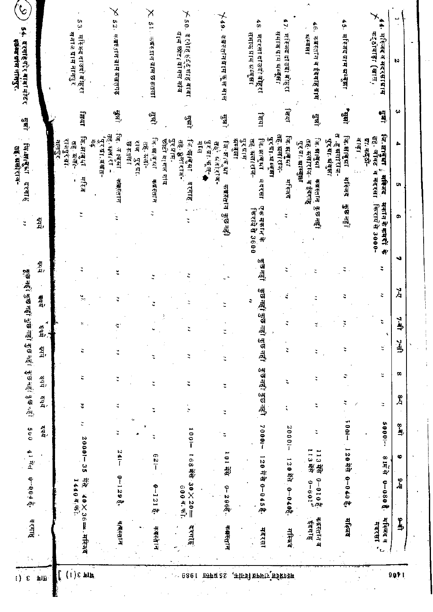| $\mathcal{C}$<br>$\ddot{\bullet}$                             |                             |              | 53.                                      |                           | δ,<br>52.                   |                                  | X                      | $\times$ 50.                                                          |                   | 749.                               | 48.                                    |                                 | 47.                                         | 46.<br>对于可以了                                  | 45.                                                    | メ<br>44.                                                 |               |
|---------------------------------------------------------------|-----------------------------|--------------|------------------------------------------|---------------------------|-----------------------------|----------------------------------|------------------------|-----------------------------------------------------------------------|-------------------|------------------------------------|----------------------------------------|---------------------------------|---------------------------------------------|-----------------------------------------------|--------------------------------------------------------|----------------------------------------------------------|---------------|
| स्वेश्व प्रांस नामपुर.<br>दर्गाहेर्ीर बाक्षामोटर              |                             |              | सनाज प्राम नाम्गुर<br>मस्जिद दाउदी बहिरा |                           | क ब्रह ग्राम ग्राम बखतगढ़   |                                  | 51. 东部天打开 研灯 砂布尔克门     | ग्राम छोट बांगल गांव<br>दर्गाह हर्दशाह बाबा                           |                   | कब्रेस्तानग्राम फूल साल            | समाज प्राम ब्रस्बुझा                   | मदरसा दाउदो बोहूरा              | समाज प्राम भन्द्र्झा<br>मस्जिद दाउदा बेहिरा | कब्स्तान व ईदगाह् ग्राम                       | मस्जिद ग्राम भम्बुझा                                   | कर्5ोवाड़ा (खास,<br>मस्जिद व मदरसाधाम                    | N             |
| ्<br>सुषी                                                     |                             |              | बिया                                     |                           | होत्रो                      |                                  | ्स्कृत<br>स्           | ्यों<br>बो                                                            |                   | तेन्नो                             |                                        | lam                             | सिया                                        | ्या<br>पु                                     | $\begin{bmatrix} 1 \\ 0 \\ 1 \end{bmatrix}$            | 鲁                                                        | ω             |
| जि. महाबुक्ता<br>तह्. मलोराज-                                 |                             | <u>न्तुर</u> | जि.झाबुध्<br>राजपुरंग्रा<br>तह. भला-     | '∑יִתו. משח-<br>$\vec{e}$ | लि. ताबुझा<br>तह. प्रतारा - | राज<br><b>JATA8</b><br>पुर प्रा. | जि.माबुझ<br>तह. प्रतो- | छोटी वागल गाँव<br>पुर <i>य</i> ाम.<br>जि. क्षाक्षभा<br>तहे. ब्रुलाराज | 53771-459-A<br>ाम | जिन्झाब आ<br>्र<br>व<br>ं संतोताज- | भ्रम्बज्ञा<br>तह. भंलाराज-<br>पुरप्राम | पुर प्रा.भ म्बँसा<br>जि. झाबुभा | तह. ग्रलाराज-<br>जि. झाबुमा                 | जि. झाबुँग<br>तह-क्लोराज-<br>पुरचा माम्बुन्ना | त हृषलोराज-<br>जि. क्षाबुझा<br>पुर प्रा. <b>भ</b> युधा | लि.साबुभा<br>तह. जोक्ट<br>बाङ्गा<br>पा. कदठो-<br>¢.<br>의 | ሔ             |
| दरगाह                                                         |                             |              | संरंग<br>٠                               |                           | क्क्क्स्तान                 |                                  | कबरतान                 | दरगाह                                                                 |                   |                                    |                                        | मंदरसा                          | मस्जिद                                      | ं व इंदगाह                                    | मस्जिद                                                 | महिजद<br>मदरसा                                           | c             |
| $\ddot{z}$                                                    | में,                        |              |                                          |                           |                             |                                  | ă                      |                                                                       |                   | कक्रसान कुछनहो                     | क्तिराये से 3600                       | एक मकान के                      |                                             | कब्रस्तान् कुछ नहीं                           | 1 हुन से हैं।                                          | किराय से 3000-<br><b>H+14 + + + + + +</b><br>$\clubsuit$ | Ō,            |
|                                                               | ক্ষু                        |              |                                          |                           | ž                           |                                  |                        |                                                                       |                   |                                    |                                        | 7ुंछ नहीं                       |                                             |                                               |                                                        | ÷                                                        | N             |
|                                                               | 44,                         |              | ۳,                                       |                           |                             |                                  |                        |                                                                       |                   |                                    | ٥                                      |                                 |                                             |                                               |                                                        | 2                                                        | ž             |
|                                                               | ã,                          |              |                                          |                           |                             |                                  |                        |                                                                       |                   |                                    |                                        |                                 |                                             |                                               |                                                        | t                                                        | ر<br>پا       |
| कुछ नहीं। भुछ नहीं। भुछ नहीं। कुछ नहीं। बु:छ नहीं। थु.छ नहीं। | 숿.                          |              | š                                        |                           |                             |                                  |                        | ă                                                                     |                   |                                    |                                        | कुछ नहीं कुछ नहीं कुछ नहीं      | ă                                           | ž                                             | ς                                                      | ٩<br>É,                                                  | ر<br>په       |
|                                                               | हे प्य                      |              | 2                                        |                           |                             |                                  | Ξ                      | ÷,                                                                    |                   | τ                                  |                                        |                                 | τ                                           |                                               |                                                        | ٣                                                        | œ             |
|                                                               | $\mathbf{r}$ dg             |              | š                                        |                           | ă,                          |                                  | t                      |                                                                       |                   | ă,                                 |                                        | স্তুত নহী সুত নহী               |                                             |                                               |                                                        | ă,                                                       | å             |
| 0.05                                                          | $\overline{\mathbf{v}}$ qʻi |              | Ξ                                        |                           | ž                           |                                  |                        |                                                                       | $-1001$           | ፡                                  |                                        | $7000 -$                        | 20001-                                      |                                               | $200 -$                                                | 50001-                                                   | $\frac{1}{2}$ |
|                                                               |                             |              | $20001 - 35$                             |                           | $241 -$                     |                                  | $621 -$                |                                                                       |                   | 101新                               |                                        |                                 |                                             | L13 转<br>13希                                  |                                                        | 9万式                                                      | $\bullet$     |
| 41 $\vec{H}$ 47 0-004 $\hat{\vec{e}}$ .                       |                             |              | $\frac{11}{2}$<br>1440 4.51              |                           | $0 - 1298$                  |                                  | $0 - 121\frac{3}{6}$   | $600 \times 7.$                                                       | 168 希 30×20       | $0 - 2968$ .                       |                                        | 120 국府 0-045 문.                 | 120前, 0-040                                 | $0 - 010$ $\frac{3}{5}$<br>$0 - 00$           | 120形 0-040名                                            | 0-080\$.                                                 | ن<br>په       |
| दरगाह                                                         |                             |              | $40\times36$ and $4k$ and                |                           | बेजरस्ताज                   |                                  | कबस्तान                | दरगाह                                                                 |                   | कक्स्तान                           |                                        | मदरसा                           | मस्जिद                                      | कञ्जरतान व<br>ज़ी करने                        | मस्जिद                                                 | मस्जिद<br>मदरसा<br>ᅌ                                     | ፟ቇ            |

Ì,

计可分析

 $\vdots$ 

 $\hat{\mathcal{A}}$ 

 $\hat{\mathcal{E}}$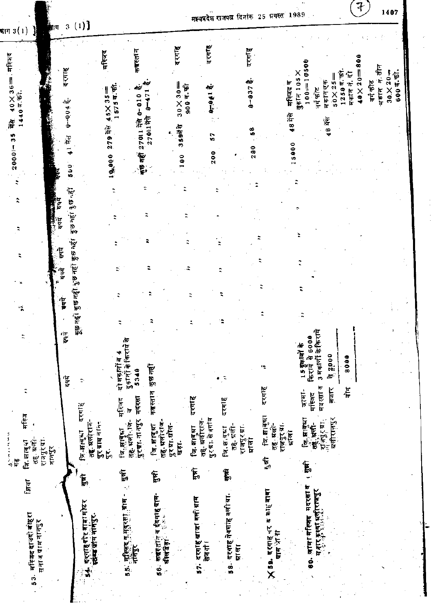$\mathbf{a}$ 

म¥यप्रदेश राजपत्न दिनांक 25 ग्रगस्त 1989

 $\left(\begin{matrix} 7 \end{matrix}\right)$  1407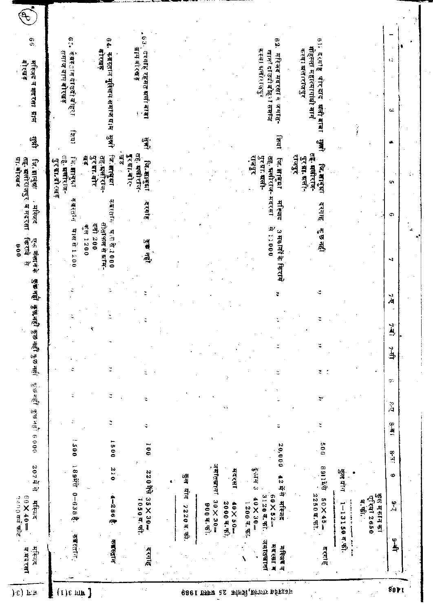|             | मस्जिद<br>व मंद रसा  | $= 0$ $\theta$ $\times 0$ $=$<br>१५०० वर्ग फोट<br>मस्जिद | 207 육학                         |                |          | ਯੁੱਚ ਸਰ੍ਹੀ ਕੁੱਤ ਮਨੁੱ! 6000 |                  |          | दुष्णे नहीं कुछ नहीं कुछ नहीं | कुंक नहीं | ं किराये<br>एक मेक्शने के<br>006<br>$\mathbf{p}$                    | . महिलद   | तह. मलोराजपुर व मदरसा<br>ग्रा. बोरखद<br>जि. सातुक्रा          | 學                | मस्जिद न मदरसा ग्राम                          | es<br>बारखड                                          |  |
|-------------|----------------------|----------------------------------------------------------|--------------------------------|----------------|----------|----------------------------|------------------|----------|-------------------------------|-----------|---------------------------------------------------------------------|-----------|---------------------------------------------------------------|------------------|-----------------------------------------------|------------------------------------------------------|--|
|             | कब्रस्तान            | 1894年 0-638き                                             |                                | 1500           |          | ċ                          | ¢                |          |                               |           | <b>9021891200</b>                                                   | कब्रस्तान | तहे. ग्रस्ताराज-<br>जि. शाबुझा<br>पुरग्⊓बोरखव                 | farat            | केब्रस्तान दाउदी वोहरा                        | ှိ<br>समाज ग्राम बोरखड़                              |  |
|             | कब्रस्तान            | $4 - 2868$                                               | 0 I C                          | 1500           | Ċ,       | z                          |                  |          |                               |           | सोता फल से का⊺म-<br><b>주라 200</b><br>$\frac{1}{34}$ 2000<br>可以引入000 | कबरतान    | जि.संग्वृष्ग<br>तह प्रसोराज-<br>al<br>A<br>पुरभ्रा बोर        |                  | कब्रदत्तान मुस्लिम समाजधाम सुक्ती             | 94.<br>बारखड़                                        |  |
|             | इरनाह                | $35 \times 30 -$<br>1050年5                               | 220期                           | $\overline{0}$ | ¢        | ă                          |                  |          |                               |           | 医眼                                                                  | इरगाह     | तह. मलोराज-<br>laj<br>01<br>पुरग्रा.बोर-<br>जि.साबुधा         | तुः              | दरगाह रहमत मली बाबा                           | .63.<br>ग्राम बोरख इ                                 |  |
|             |                      |                                                          |                                |                |          |                            |                  |          |                               |           |                                                                     |           |                                                               |                  |                                               |                                                      |  |
|             |                      | 7220日所                                                   | कुल योग                        |                |          |                            |                  |          |                               |           |                                                                     |           |                                                               |                  |                                               |                                                      |  |
| 82 MHZ 1986 |                      | $30 \times 30 =$<br>900 a. Ti                            | ज़मातबाना<br>ज                 |                |          |                            |                  |          |                               |           |                                                                     |           |                                                               |                  |                                               |                                                      |  |
|             |                      | 2000年5月<br>$-0.5\times 0.5$                              | मदरसा                          |                |          |                            |                  |          |                               |           |                                                                     |           |                                                               |                  |                                               |                                                      |  |
|             | जमातबामा             | 3120年,中<br>$-0.8 \times 0.4$<br>$1200 - 7.51$            | के गोन्<br>ज<br>$\ddot{\circ}$ |                |          |                            |                  |          |                               |           |                                                                     |           | राजपुर<br>पुरब्राः मली-                                       |                  |                                               | कस्बा धलाराराजपुन                                    |  |
|             | मदत्ता म<br>मस्त्र व | 42 में से मस्जिद<br>$-222 - 7$                           |                                | 20,000         |          |                            |                  |          |                               |           | 90011 号<br>3 मकानों के किराये                                       | मांस्कृत  | तह. मलोराज- मदरसा<br>जि. साक्ष्मा                             | <b>TETRI</b>     | खाना दाउदी बोह्न समाज<br>महिलंद मदरसा व जमात- | ₿.                                                   |  |
|             | दरगाह                | 2250日 中<br>$50\times45$                                  | <b>891149</b>                  | 005            |          | په                         | $\overline{z}$ . | ă        |                               | ÷         | कुछ नहीं                                                            | इंगाह     | तङ्के मर्लोराज-<br><b>ALIALA</b><br>पुर मा. अली-<br>जि.भावृभा | $\sum_{i=1}^{n}$ | मोहल्ला महात्मागांधी भागं<br>यती बाबा         | $\frac{6}{1}$<br>कस्वा ब्रले।राजपुर<br>्दरमाह पीरदाद |  |
|             |                      | $1 - 13150$ व.फी.<br><b><i><u>A</u></i></b>              | कुल पोप                        |                |          |                            |                  |          |                               |           |                                                                     |           |                                                               |                  |                                               |                                                      |  |
|             |                      | कुलं मकान का<br>एरिया 2650<br>ब, खे                      |                                |                |          |                            |                  |          |                               |           |                                                                     |           |                                                               |                  |                                               |                                                      |  |
|             | $\frac{6}{7}$        | نې<br>د                                                  | Φ                              | $\frac{8}{4}$  | $12 - 8$ | ġŷ<br>े<br>प्र             |                  | ₽<br>्स् | ř.                            | Ϋ́        | ⊣                                                                   | Ф         | ç,                                                            | ÷                | $\sim$                                        | τè                                                   |  |
| 80 F I      |                      |                                                          |                                |                |          |                            |                  |          |                               |           |                                                                     |           |                                                               |                  |                                               |                                                      |  |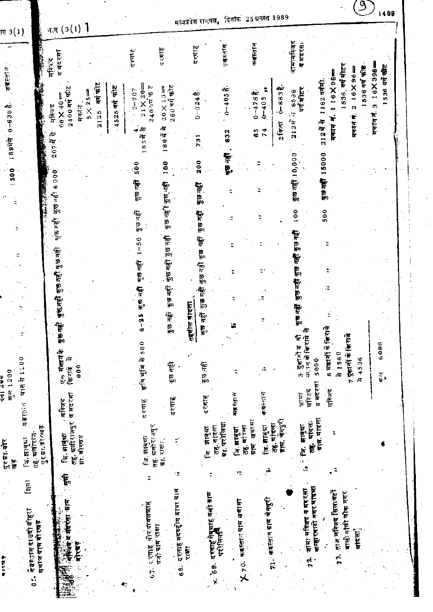| ल 3(1)                |                                                |                         | ज,ग $(3(1)$ ]                                     |                 |                  |               |                                                    |                                   |                                                  | मध्यप्रदेश राज्यस्य                      |                             |                                |                             |             |                                                     |                              |                                                              |                                            |                                    |  |
|-----------------------|------------------------------------------------|-------------------------|---------------------------------------------------|-----------------|------------------|---------------|----------------------------------------------------|-----------------------------------|--------------------------------------------------|------------------------------------------|-----------------------------|--------------------------------|-----------------------------|-------------|-----------------------------------------------------|------------------------------|--------------------------------------------------------------|--------------------------------------------|------------------------------------|--|
|                       | <b>RANGE BANK</b>                              | मस्बिद                  | व मदरसा                                           |                 |                  |               | दरगा है                                            | दरगह                              |                                                  | दरगाह                                    | कब्रहतान                    | कबस्तान                        |                             |             | जामार्मस्जिद<br>व मदरसः                             |                              |                                                              |                                            |                                    |  |
| कबस्तान<br>$0 - 6388$ | <b><i>Comment</i></b>                          | मस्जिद                  | $2400$ वर्ग फीट<br>$60X40 =$<br>मकान              | $5 \times 25 =$ | बर्ग फीट<br>2125 | 4525 वर्ष फीट | $21$ X $20 =$<br>24041757<br>$2-707$               | $260$ वर्ग फ़ोट<br>$20\times13$ = |                                                  | $0 - 0.24$ $\frac{4}{5}$                 | $0 - 405 -$                 | $0 - 478$ $\frac{3}{2}$ .      | $0 - 405$                   | $0 - 883$   | । 6596<br>बर्ग मोटर<br>đπ                           | 1162 वर्गमी.                 | 1536, वर्ग मीटर<br>$116X96 =$                                | 1536 वर्ग फीट<br>$16X96 =$<br>$\mathbf{c}$ | $3 \cdot 16X396 =$<br>536 वर्ग फीट |  |
| 189HR                 |                                                | 207年第<br><b>RANGARY</b> |                                                   |                 |                  |               | $\frac{4}{5}$ $\frac{4}{4}$ $\frac{6}{5}$          | Æ<br>1804                         |                                                  | 731                                      | 632                         | 65                             | 74                          | 2 किता      | 2127                                                | 212477                       | मकान न.                                                      | मकान न                                     | मकांन नं.                          |  |
| 1500                  |                                                |                         |                                                   |                 |                  |               | 500                                                | 100                               |                                                  | 200                                      | <b>De die</b>               |                                |                             |             | কুভ নক্তী 10,000                                    | कुछ नहीं 15000               |                                                              |                                            |                                    |  |
|                       |                                                | कुछ नहीं कुछ नहीं 6000  |                                                   |                 |                  |               | कुछ नहीं                                           | कुछ गहीं हुछ गहीं                 |                                                  | कुछ नहीं                                 |                             |                                | ŧ                           |             |                                                     |                              |                                                              |                                            |                                    |  |
|                       |                                                |                         |                                                   |                 |                  |               | ন্দ্ৰত নত্ত্                                       |                                   |                                                  | कुछ नहीं                                 |                             |                                | ።                           |             | 100                                                 | 500                          |                                                              |                                            |                                    |  |
|                       |                                                |                         |                                                   |                 |                  |               | $1 - 50$                                           | कुछ नहीं कुछ नहीं                 |                                                  |                                          |                             |                                |                             |             | কুভ নহী কুভ নহী কুভ নহী                             |                              |                                                              |                                            |                                    |  |
|                       |                                                |                         |                                                   |                 |                  |               | $\frac{1}{2} \Delta \ln \frac{d \Delta}{d \Delta}$ |                                   |                                                  | ন্তুত নহী খুত নহী খুত নহী                |                             |                                |                             |             |                                                     | ۲Ż,                          |                                                              |                                            |                                    |  |
|                       |                                                |                         | कुछ नहीं कुछ नहीं कुछ नहीं                        |                 |                  |               | कुछ नहीं                                           | कुछ नहीं                          |                                                  |                                          |                             |                                |                             |             | कुछ नहीं                                            |                              |                                                              |                                            |                                    |  |
|                       |                                                |                         | पुरु नहीं                                         |                 |                  |               | $6 - 25$                                           | कुछ नहीं                          | <u>तहसील बादला</u>                               | कुछ नहीं                                 |                             |                                |                             |             | ¢                                                   |                              |                                                              |                                            |                                    |  |
| कल 1200<br>こつべ こじ     | <b>21氏性1200</b>                                |                         | एक मंजान के<br>Æ<br>900<br>िकि राये               |                 |                  |               | ီ<br>ङ्गि भूमि से 5।                               | कुछ नहीं                          |                                                  | कुछ नहीं                                 |                             |                                | ۰.                          |             | 在江南省区<br>3 दुकानों व                                | 8 मकानी के क्रियर्चे<br>5000 | 7 कुलानी के किराये<br>$\frac{3}{4}$ 1560                     | 74536                                      | 6096<br>ه ع                        |  |
|                       | कब्रह्तान                                      |                         | . मस्जिट                                          |                 |                  |               | दरगाह                                              | दरगढ़                             |                                                  | दरगाह                                    | 医脑膜炎                        |                                | 电应急压                        |             | मस्जिद<br>जामा                                      | व मदरसा<br>मस्जिद            |                                                              |                                            |                                    |  |
| पुरगा बोर<br>博        | तहे. ग्रलीराज-<br>$\overline{1}$ ज, ज्ञावुद्या | पुरम्रा ती रखड़         | तहू. ग्रलीराजपुर व मदरसा<br>行, 田同村<br>ग्रा. बोरखड |                 |                  |               | तह. श्रतीरः अपुर<br>जि. झाबुधा                     | $\tilde{\cdot}$<br>ग्रा. राक्षा.  |                                                  | तह. वादला<br>স্নান্দা<br>ė               | ग्रा. परोतिया<br>जि. झाबुझा | खबासा<br>तह. यां ऱला<br>प्राप् | जि. बाबुग्न<br>तह यादला     | बाग चेनपुरी | पादल<br>সি. দাৰ্ঘ<br>Ė<br>ł,<br>Ċ,                  | ब्राम, बादला                 |                                                              |                                            |                                    |  |
|                       | final                                          |                         | $\tilde{\mathbf{F}}$                              |                 |                  |               |                                                    | ١Ť,                               |                                                  |                                          |                             | ۰,                             |                             |             |                                                     |                              | ř                                                            |                                            |                                    |  |
|                       | क्रैंब्रस्तान दाउदी वोहरा<br>समाज गाम बोरखड़   |                         | 在东北市 五花八色 一件<br>बोरबड़                            |                 |                  |               | ्रगाह पोर दावलशाह                                  | वज़ी प्राप्त राक्षा               | 68. दरगाहे बदर्घ्द्दीन बावा ग्राम<br><b>KINT</b> | '69. दरगाह नेबयाह वली ग्राम<br>परीलियाने |                             | कड़स्तान ग्राम खबासा           | 71. कब्रस्त∖न ग्राम चेनपुरी |             | कम्हारवाटी नगर वांदला<br>जांसा महिजब व मदरसा<br>72. |                              | ताज्ञ मस्जिद सिलावटों<br>बासी गांधी चौक नगर<br>$\frac{3}{2}$ | वदिला]                                     |                                    |  |
| かがいす                  | i.<br>O                                        |                         | ćÃ.                                               |                 |                  |               | Ś                                                  |                                   |                                                  | ×                                        |                             | $\sum_{i=1}^{n}$               |                             |             |                                                     |                              |                                                              |                                            |                                    |  |

दिनांक 25 ग्रगस्त 1989 ∹ਰਸ

 $\left| \frac{1}{1409} \right|$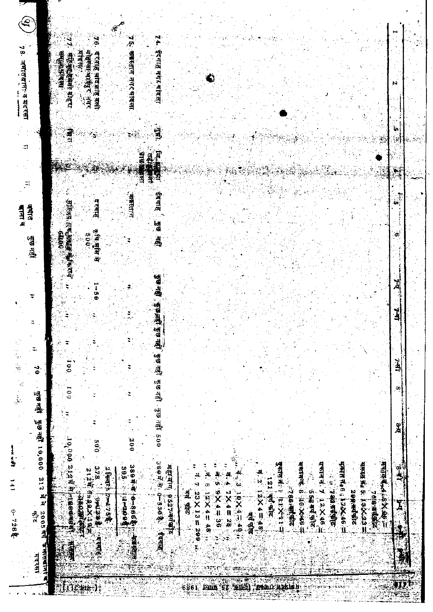$\widehat{\mathbf{e}}$ 7 ६. कबस्तान नगरथदंदला. 74. ईदगाह नगरपादिला 76. दुर्गाह चादप्रारह कर्त 78. जमातबाना व मदरसा ・ 本保護保育所 見るい 「「一」、「一」、「一」 यादका: 地地出版社 Ñ i,  $\begin{array}{c}\n\bullet \\
\bullet\n\end{array}$ 導う  $\mathbf{p}$ E) 河流海 阳田縣  $\ddot{z}$ ្ស<br>ត ईदगाह े कुछ नही कबस्तान 可愿得 只吃 机制度 医中心 <u>दरवाह</u> बाना व जन्मात 电磁道单  $\ddot{\bullet}$ **CAMPS** हुँछ नहीं **803 डाण नहीं , कुफ अहीं कुल नहीं , कुछ नहीं कुछ नहीं , कुछ नहीं , 500** 녀  $-5.9$ ÷ اني<br>افغان ÷  $\ddot{ }$ 等。 (國) ्स्<br>राज्य  $\frac{1}{2}$ l.  $\ddot{\bullet}$ i<br>Ser<br>Ser  $00I$ œ ।<br>जुखनहीं कुछ नहीं 10,000 212 में से 2005 वर्ष<br>बुखनहीं कुछ नहीं 10,000 212 में से 2005 वर्ष ቜ  $007$ 10,000 2,123 H Richard  $-0.05$ 389年生了。19-520 年生 [書] 中国 医三角状态 **1994年初的人的人的情况。** HATER B 100 XX40 सकानत, 7 12×46.4 FARE Res : PASSE -**出現国際 空気交易工** gatawa jurXi ra 389 中,华·市·市、市、安全560万元,第61  $\frac{378}{2}$ महायोग् 9527 बर्गबीट ू<br>ने 995 / 七名/ 1409年 2 Fersth products **SISSIMAL AREA**  $7.2112 \times 4 = 25$  $4.85 = 72 \times 21.9$ 2010年4月11日 121 वर्ष कोट **SECRET REFERENCE**  $1225 = 299$  $-36 = 36$  $-38 = 38$ 768 有效的 S SAI ANT STE 2093. Marke ंबर्ग कोट  $\mathbf{x}$ 13100000 一日本学部  $0 - 728$ खांगे पोक 1 **Addition** ं कामाताबागना च 医细胞的 Ņ मदरसा an<br>Ud 4114) paik ij, 6861 čie ur <u>, Баргун</u> j.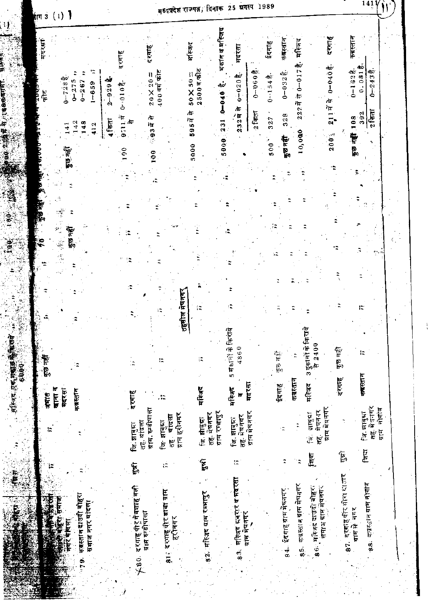| (1)<br><b>π</b> 3                                                                                                                                        | मध्यप्रदेश राजपत्र, दिनाक 25 ग्रगस्प 1989                                                                                                                                                                                                                                                  | 1411                                                                            |
|----------------------------------------------------------------------------------------------------------------------------------------------------------|--------------------------------------------------------------------------------------------------------------------------------------------------------------------------------------------------------------------------------------------------------------------------------------------|---------------------------------------------------------------------------------|
| गरसा                                                                                                                                                     | मकान व मस्जिद<br>दरगाह<br>कबस्तान<br>र्मास्जद<br>ईदगाह<br>म∣स्जन्<br>मदरसा<br>दरगाह<br>दरगाह<br>aio                                                                                                                                                                                        | कब्रस्तान<br>40                                                                 |
| $0 - 728$ $\frac{a}{3}$<br>$0 - 275$<br>$0 - 267$<br>$1 - 659$<br>乍                                                                                      | $0 - 0.40\frac{a}{6}$<br>25007.975<br>守 0-017<br>$0-0.60$<br>$400$ वर्ग फीट<br>$0 - 0.32\frac{4}{3}$<br>$50\times 50 =$<br>$0 - 020$ $\frac{2}{5}$ .<br>$20 \times 20 =$<br>$0 - 1548$<br>$2 - 929$ $\frac{1}{4}$<br>$0 - 010$<br>$\pi\sigma$<br>$0 + 0 = 0$<br>一耳音<br>$222$ में<br>Æ<br>Æ | $0 - 162$<br>$0 - 2438$<br>0.081                                                |
| $\frac{2}{4}$<br>148<br>412<br>$\frac{1}{4}$                                                                                                             | $2$ किता<br>2327<br>328<br>$\overrightarrow{0}$<br>327<br>9348<br>$\vec{a}$<br>595में<br>231<br>4 किता<br>Λv<br>10,000<br>200 <sub>3</sub><br>Ť                                                                                                                                            | 2 किसा<br>392<br>108                                                            |
| 50,60                                                                                                                                                    | कुछ नहीं<br>5000<br>500 <sup>2</sup><br>5000<br>ຸຣ<br>60 <sub>1</sub>                                                                                                                                                                                                                      | कुछ नहीं                                                                        |
|                                                                                                                                                          |                                                                                                                                                                                                                                                                                            |                                                                                 |
| $\frac{1}{2}$<br>$\frac{1}{2}$<br>কুভনৱী<br>$\frac{1}{\sqrt{2}}\sum_{i=1}^{n} \frac{1}{2} \left( \frac{1}{2} \right)^{i} \left( \frac{1}{2} \right)^{i}$ |                                                                                                                                                                                                                                                                                            |                                                                                 |
| ď,                                                                                                                                                       |                                                                                                                                                                                                                                                                                            |                                                                                 |
|                                                                                                                                                          | नेवनगर<br>í÷                                                                                                                                                                                                                                                                               |                                                                                 |
|                                                                                                                                                          | हसील<br>e l                                                                                                                                                                                                                                                                                |                                                                                 |
| erikare Kafilingan<br>Pikare Kafilingan<br>कुछ नहीं                                                                                                      | 5 मकानों के फिराये<br>3 दुकानों के किराये<br>से 2400<br>4860<br>कुछ नहीं<br>$\frac{1}{6}$ by $\frac{1}{6}$<br>ξĘ,                                                                                                                                                                          | I,                                                                              |
| बाना व<br>गदरसा<br>कबस्तान<br>有样的                                                                                                                        | दरगाह<br>कब्रस्तान<br>मदरसा<br>मस्जिद<br>इंदगाह<br>मस्जिद<br>र्मास्जद<br>दरगाह<br>k<br>I.                                                                                                                                                                                                  | क्बरतान                                                                         |
|                                                                                                                                                          | ग्राम मेघनगर<br>ग्राम, रुग्डोपाला<br>मेघनगर<br>ग्राम रम्भापुर<br>ग्राम मेघनगर<br>तह. मेघनगर<br>झाबुश्रा<br>ग्राम हरीनगर<br>तह. मेघनगर<br>यांदसा<br>লি লানুয়া<br>जि. शब्धा<br>জি লাৰ্মা<br>तह. थादला<br>বি. লাৰ্মা<br>$\frac{1}{\sqrt{2}}$<br>÷,<br>.<br>تا<br>ic'<br>ic<br>ن<br>آن        | तह, मेर्गनगर<br>नोगांव<br>লি লাৰ্ঘা<br>ग्राम                                    |
|                                                                                                                                                          | $\widetilde{\mathbb{F}}$<br>$\mathfrak{f}$ क्षया<br>ţ,<br>ţ.<br>÷<br>ìŔ<br>ţ,                                                                                                                                                                                                              | मिटा                                                                            |
| कब्रस्तानदाउदी बोहरा<br>रिंहरा समाज<br>समाज नगर थांदला<br>पेरिस<br>Ĕ                                                                                     | महिजद सबरार व मदरसा<br>कब्रस्तान काम मेघनगर<br>86. महितद काउदी बोहराँ<br>.<br>दरगाह पी र गे वशाह वली<br>संमाज प्राप्त मेघनगर<br>84. ईदगाह ग्राम मेघगगर<br><u>81</u> : दरगाह पीर बाबा ग्राम<br>82. महिजद ग्राम रम्भापुर<br>ग्राम स्रबीपाला<br>ग्राम मेघनगर<br>हरीनगर                        | 87. दरगह पौर मौरा यातर<br>88. क् <b>प्रस्तान ग्राम नोगां</b> व<br>ग्राम में नगर |
| いちる<br>ò<br>N                                                                                                                                            | $\frac{6}{3}$<br>$\overline{\mathbf{3}}$<br>$\frac{6}{5}$                                                                                                                                                                                                                                  |                                                                                 |

 $\mathbf{1}$ 

医色色如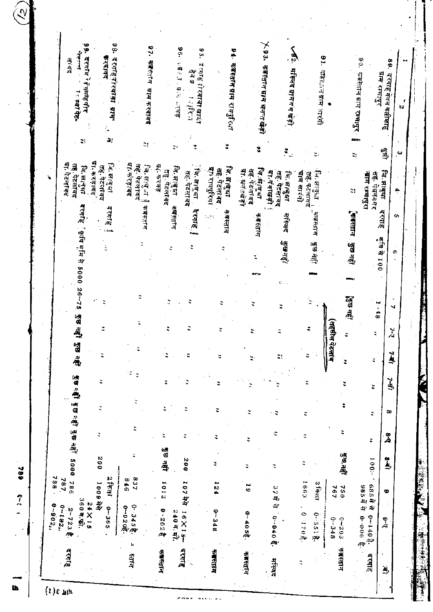| ะ<br>医眼<br>12<br>$1 - 48$<br>ਭੌਤ ਜਕ੍ਰੀ ਭਾਤ ਜਕ੍ਰੀ<br>(तहसील पेटलाव<br>Ξ,<br>ă<br>ž<br>Ξ<br>≈<br>Ξ.<br>e.<br>ă<br>Ĉ.<br><b>SEFERED SERFER</b><br>š<br>ë<br>ĩ,<br>٠<br>÷<br>ž<br>4<br>₹<br>ž<br>ă<br>÷<br>z<br>œ<br>÷<br>÷,<br>÷<br>٤<br>Φ<br>÷<br>Å<br>ż<br>Ξ<br>ċ<br>ž, | दरग7∺े केज़आह पीर<br>⊺ स्वाचेट-<br>÷,<br>ग्रा.करड़ावद<br>या. पेटलाच्च<br>तह. पेटलावद<br>जि. झानुआ<br>दरगाह ँ कृषिभूमि से 5000 26∹75 | दरगहिपरिवाद्या ग्राम<br>$\frac{3}{2}$<br>2)<br>जि. सहबुभ<br>तह. पेटलावद<br>दक्ताह !<br>ţ | 97. क्याँसान थाम करदावद<br>Ğ,<br>या करड़ावद<br>जि.स <sub>धी</sub> ना ।<br>तह फेटलावद<br>कब्स्नान | <b>WEAT AFT ATE</b><br>ž,<br>ग्न, करवड़<br>जि. झाबुझा<br>तह. पेटलावद<br>नाम स्त्रान | दे रगाह नोरकाबा खाउं,ा<br>「情報です<br>्जि. झाबुआ<br>तहः पटलाकद<br>दकाह<br><b>Color</b> | 94∙ कब्रस्तान ग्राम रायपुरिक्षा<br>जि. झाबुद्धा<br>ग्रा रायपुरिया<br>तह. पेटलावद<br>कबस्तान<br>ž | ⊁ 9 3.  कब्रस्तान प्राम भन्-त खेड़ो<br>Ý,<br>जि.स्राष्ट्रभा<br>गा. यनेतखड़ी<br>तह. पेटलांबद<br>平安大厅下行 | ∕52. मस्जिद श्रोमगंग खेड़ी<br>$\mathbf{S}_{\rm eff}$<br>या गंगाखडी<br>तह. पेटलावद<br>जि.सब्दुभा<br>मस्जिद<br>खेनहों। | 91. चक्रितियाम अर्रमो<br>पाम सारंगो<br>जि. झाबुज़ा<br>रोह. पटलावद<br>् माझस्तान<br>कुछ नहीं | ्डुड नहीं | लक्षस्तान प्रास रम्भा <u>पु</u> र<br>ग्राम रम्भापुर<br>an y<br>t,<br><u>जाम रम्भापुरा</u><br>राह. गंधननगर<br>۵Ì,<br>किक्स्तान<br>ब | दरगाह गेवन वलीशाह<br>倒<br>$\overset{\omega}{\cdot}$<br>जि. झाबुधा<br>۸<br>दरगाह<br>Ō,<br>$\frac{1}{\sqrt{3}}\sum_{i=1}^{n}\frac{1}{i}(\frac{1}{2})\frac{1}{i}(\frac{1}{2})$<br>Ō, |
|------------------------------------------------------------------------------------------------------------------------------------------------------------------------------------------------------------------------------------------------------------------------|-------------------------------------------------------------------------------------------------------------------------------------|------------------------------------------------------------------------------------------|--------------------------------------------------------------------------------------------------|-------------------------------------------------------------------------------------|-------------------------------------------------------------------------------------|--------------------------------------------------------------------------------------------------|-------------------------------------------------------------------------------------------------------|----------------------------------------------------------------------------------------------------------------------|---------------------------------------------------------------------------------------------|-----------|------------------------------------------------------------------------------------------------------------------------------------|-----------------------------------------------------------------------------------------------------------------------------------------------------------------------------------|
|                                                                                                                                                                                                                                                                        |                                                                                                                                     |                                                                                          |                                                                                                  |                                                                                     |                                                                                     |                                                                                                  |                                                                                                       |                                                                                                                      |                                                                                             |           |                                                                                                                                    | Ñ<br>Ă<br>$\frac{1}{2}$                                                                                                                                                           |
|                                                                                                                                                                                                                                                                        |                                                                                                                                     |                                                                                          |                                                                                                  |                                                                                     |                                                                                     |                                                                                                  |                                                                                                       |                                                                                                                      |                                                                                             |           |                                                                                                                                    | į                                                                                                                                                                                 |
| कुछ,नहीं<br>÷<br>200<br>0005<br>100:-<br>$\frac{1}{2}$<br>200<br>ž<br>÷<br>÷,<br>ă                                                                                                                                                                                     |                                                                                                                                     |                                                                                          |                                                                                                  | कुव्न नहीं                                                                          |                                                                                     |                                                                                                  |                                                                                                       |                                                                                                                      |                                                                                             |           |                                                                                                                                    |                                                                                                                                                                                   |

i<br>S

 $\mathbb{Q}$ 

 $-789$   $0-2$ 

**th**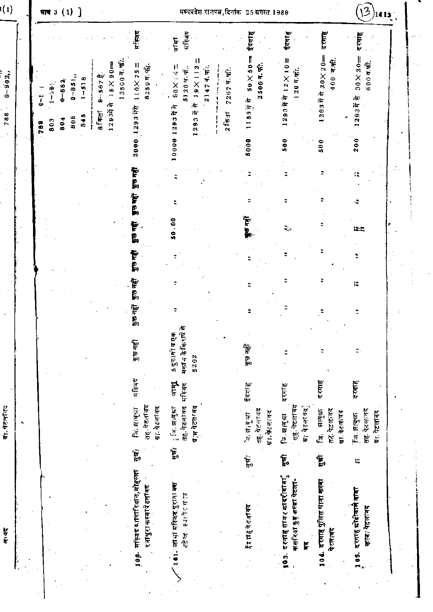| $\sqrt{1}$ |                                                                                               | माय 3 (1) ]      |                  |                   |                    |                             |                           |         |                                                                   |                                                                                    |                                                  | मध्यप्रदेश राज्यत्न, दिनांक 25 श्रगस्त 1989 |                                                            |                                                     | I3<br>$)$ 14 13 $^{\circ}$               |  |
|------------|-----------------------------------------------------------------------------------------------|------------------|------------------|-------------------|--------------------|-----------------------------|---------------------------|---------|-------------------------------------------------------------------|------------------------------------------------------------------------------------|--------------------------------------------------|---------------------------------------------|------------------------------------------------------------|-----------------------------------------------------|------------------------------------------|--|
|            |                                                                                               |                  |                  |                   |                    |                             |                           |         | र्मास्लद                                                          | मस्जिट<br>जामा                                                                     |                                                  | ईदगाह                                       | ईदगाह                                                      | दरगाह                                               | दरगाह                                    |  |
|            | ֧֧֧֦֧֦֧֦֧֦֧֦֧֦֧֦֧֦֧֦֧֦֧֦֧֦֧֦֧֧֡֟֟֓֟֓֕֓֕֓֕֓֕֓֓֕֓֓֓֟֓֟֓֕֓֟֓֟֓֟֓֟֓֟֓֟֓֟֓֟֓֟֓֟֓֟֓֟֓֟֓<br>׆<br>789 | $1 - 3.9$<br>803 | $0 - 884$<br>804 | $0 - 851,$<br>808 | $-518$<br>845<br>ł | dÙ<br>$9 - 567$<br>$8f$ कहा | $15\times90 =$<br>12933 R | 135007. | $110 \times 75 =$<br>8250年,<br>1293177                            | $19 \times 113 =$<br>$80\times 14 =$<br>51204.4.<br>21474.<br>心<br>1293片件<br>1293年 | $7267$ $\overline{q}$ , $\overline{q}$ ).<br>257 | $50\times50 =$<br>$2500$ व. फी.<br>115577   | 1293年前12×10=<br>120 व.फी.                                  | 1293节守20×20=<br>400 व.की.                           | $30 \times 20 =$<br>60095<br>1293年7      |  |
|            |                                                                                               |                  |                  |                   |                    |                             |                           |         | 2000                                                              | 0000                                                                               |                                                  | 5000                                        | 500                                                        | 500                                                 | 200                                      |  |
|            |                                                                                               |                  |                  |                   |                    |                             |                           |         | पुरु नहीं                                                         |                                                                                    |                                                  |                                             |                                                            |                                                     | Iż,                                      |  |
|            |                                                                                               |                  |                  |                   |                    |                             |                           |         | <b>Area</b>                                                       |                                                                                    |                                                  |                                             |                                                            |                                                     |                                          |  |
|            |                                                                                               |                  |                  |                   |                    |                             |                           |         | ida ali                                                           | <u>ទ</u>                                                                           |                                                  | <b>हिंग नहीं</b>                            | L.                                                         |                                                     | <b>LEC</b>                               |  |
|            |                                                                                               |                  |                  |                   |                    |                             |                           |         | पुरु नहीं                                                         |                                                                                    |                                                  |                                             |                                                            |                                                     |                                          |  |
|            |                                                                                               |                  |                  |                   |                    |                             |                           |         | কুচ নক্ট                                                          |                                                                                    |                                                  |                                             |                                                            |                                                     | I.                                       |  |
|            |                                                                                               |                  |                  |                   |                    |                             |                           |         | कुछ नहीं                                                          | ₹                                                                                  |                                                  |                                             |                                                            |                                                     |                                          |  |
|            |                                                                                               |                  |                  |                   |                    |                             |                           |         | कुछ नहीं                                                          | Æ<br>5 दुकाकों व एक<br>मक्तान केकिराये<br>5292                                     |                                                  | कुछ नहीं                                    |                                                            | ÷,                                                  | ÷.                                       |  |
|            |                                                                                               |                  |                  |                   |                    |                             |                           |         | मस्बिद                                                            | जाम्<br>ज<br>मरिजद                                                                 |                                                  | ईदगाह                                       | दरगा ह                                                     | दरगाह                                               | दरगाह                                    |  |
|            |                                                                                               |                  |                  |                   |                    |                             |                           |         | तह, पेटलावद<br>ग्रा. पेटलावंद<br>कि. साबुधा                       | तह. पेटलावद<br>ग्र′म पेटलावद<br>িনি লাৰ্মা                                         |                                                  | तह. पेटलावद<br>ग्ना, फेंटलावद<br>医尿性流       | त्हे. पेटलावद<br>ग्रा पेटलावद<br>ৰি স্নান্ধা               | तह, पेटलावद<br>साबुद्धा<br>गा. पेटलावद<br>ين<br>منا | तह, पेटलावद<br>ग्रा. पेटलावद<br>দি সন্মা |  |
|            |                                                                                               |                  |                  |                   |                    |                             |                           |         | सुन्ने                                                            | $\tilde{\mathbf{F}}$                                                               |                                                  | पुन्नो                                      | $\overline{\mathbf{F}}$                                    | $\widetilde{\mathbf{F}}_0$                          | t.                                       |  |
|            |                                                                                               |                  |                  |                   |                    |                             |                           |         | ्रा ९ ६ - महिन्न व व गपारियान, मोहल्ला<br>र ना पुरा कस्वापे टलावद | 101. जामा मस्जिद पुराना बस<br>स्टेख स्मीनगर                                        |                                                  | ई रा है पेटअ विद                            | 193. दरगाह सावर कावरीयावा<br>कसरिया कुड़ कस्बा पेटला-<br>ķ | 104. दरगाह पुलिस थाना कस्बा<br>पे रलावद             | दरगाह स्रोडीवासे बाबा<br>कस्बा पेटलावद   |  |
|            |                                                                                               |                  |                  |                   |                    |                             |                           |         |                                                                   |                                                                                    |                                                  |                                             |                                                            |                                                     | 105.                                     |  |
|            |                                                                                               |                  |                  |                   |                    |                             |                           |         |                                                                   |                                                                                    |                                                  |                                             |                                                            |                                                     |                                          |  |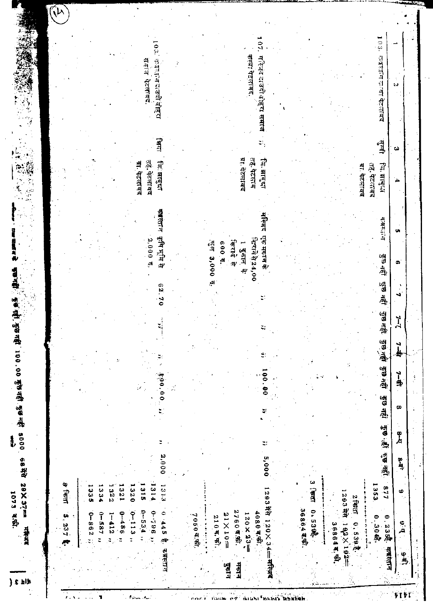|                             | $\mathbf{a}$ is $\mathbf{a}$ | 井村川                                            | 1073 4.6.       |                | Į,            |           | खनहीं 100.00 मुखनहीं कुछनहीं 5000 68 में 29X37== |         |            | 뼬        |                          |          | 藻             |              |                                                   |  |
|-----------------------------|------------------------------|------------------------------------------------|-----------------|----------------|---------------|-----------|--------------------------------------------------|---------|------------|----------|--------------------------|----------|---------------|--------------|---------------------------------------------------|--|
|                             |                              |                                                |                 |                |               |           |                                                  |         |            |          |                          |          |               |              |                                                   |  |
|                             |                              |                                                |                 |                |               |           |                                                  |         |            |          |                          |          |               |              |                                                   |  |
|                             |                              | 5.237                                          | $\theta$ find   |                |               |           |                                                  |         |            |          |                          |          |               |              |                                                   |  |
| $\mathcal{L}_{\mathcal{L}}$ |                              |                                                |                 |                |               |           |                                                  |         |            |          |                          |          |               |              |                                                   |  |
|                             |                              |                                                |                 |                |               |           |                                                  |         |            |          |                          |          |               |              |                                                   |  |
|                             |                              | $0 - 862$                                      | <b>1335</b>     |                |               |           |                                                  |         |            |          |                          |          |               |              |                                                   |  |
| ٦                           |                              | $0 - 587$                                      | .334            |                |               |           |                                                  |         |            |          |                          |          |               |              |                                                   |  |
|                             |                              | $1 - 412$                                      | 228             |                |               |           |                                                  |         |            |          |                          |          |               |              |                                                   |  |
|                             |                              | $0 - 488 - 0$                                  | 321             |                |               |           |                                                  | y.      |            |          |                          |          |               |              |                                                   |  |
|                             |                              | $0 - 113$                                      | $\frac{320}{3}$ |                |               |           |                                                  |         |            |          |                          |          |               |              |                                                   |  |
|                             |                              | $0 - 534$ ,                                    | $rac{1}{2}$     |                |               |           |                                                  |         |            |          |                          |          | ग्रा. पेटलावद |              | र माज                                             |  |
|                             |                              | $0 - 796$ ;                                    | 1314            |                |               |           |                                                  |         |            |          | 2,000 \$.                |          | तह, पेटलावद   |              | $\frac{1}{2}$<br>पेटलाबद.                         |  |
|                             |                              | ٥<br>445<br>оФ                                 | 131.3           | 2,000          |               |           | $-0.04$<br>。<br>。                                |         |            | 62.70    | कृषि भूमि से             | क्षस्त न | जि. झाबुद्रा  | बिद्या       | प्रदानदाउदी बेहिस                                 |  |
|                             |                              |                                                |                 |                |               |           |                                                  |         |            |          |                          |          |               |              |                                                   |  |
|                             |                              |                                                |                 |                |               |           |                                                  |         |            |          |                          |          |               |              |                                                   |  |
|                             |                              |                                                |                 |                |               |           |                                                  |         |            |          |                          |          |               |              |                                                   |  |
|                             |                              | 70504.91                                       |                 |                |               |           |                                                  |         |            |          |                          |          |               |              |                                                   |  |
|                             |                              |                                                |                 |                |               |           |                                                  |         |            |          | मुल 3,000 स <sub>्</sub> |          |               |              |                                                   |  |
| <b>INMERS</b>               |                              | $210 \, \text{g}$ , $\pi$ ).                   |                 |                |               |           |                                                  |         |            |          |                          |          |               |              |                                                   |  |
|                             | ्<br>बनान                    | $21 \times 10 =$                               |                 |                |               |           |                                                  |         |            |          | 600.5.                   |          |               |              |                                                   |  |
| $\frac{1}{\sqrt{2}}$        | मेंदान                       | 2760可命                                         |                 |                |               |           |                                                  |         |            |          | किराये<br>4y             |          |               |              |                                                   |  |
| ń.                          |                              | $120 \times 23 =$                              |                 |                |               |           |                                                  |         |            |          | 1 दुकान थे:              |          | या. पेंटलावद  |              |                                                   |  |
|                             |                              | 4080年第.                                        |                 |                |               |           |                                                  |         |            |          | बित्तये से 24,00         |          | तह. पेटलाव    |              | कस्बा पेटलावद.                                    |  |
|                             |                              | 1293 मेंने 120×34 <del>≔ म</del> स्जि <b>द</b> |                 | 5,000          | ะ             |           | 8<br>៓៓                                          |         |            |          | एक मकान के               | コカル      | जि. झाबुद्धा  | ΞÎ,          | $\frac{0}{7}$<br>महिन्द दाउदी बोह् <b>रा समाज</b> |  |
|                             |                              |                                                |                 |                |               |           |                                                  |         |            |          |                          |          |               |              |                                                   |  |
|                             |                              |                                                |                 |                |               |           |                                                  |         |            |          |                          |          |               |              |                                                   |  |
|                             |                              |                                                |                 |                |               |           |                                                  |         |            |          |                          |          |               |              |                                                   |  |
|                             |                              | 3686445                                        |                 |                |               |           |                                                  |         |            |          |                          |          |               |              |                                                   |  |
|                             |                              | 0.5396                                         | 一个人             |                |               |           |                                                  |         |            |          |                          |          |               |              |                                                   |  |
|                             |                              |                                                |                 |                |               |           |                                                  |         |            |          |                          |          |               |              |                                                   |  |
|                             |                              | 368644,50                                      |                 |                |               |           |                                                  |         |            |          |                          |          |               |              |                                                   |  |
|                             |                              | $192 \times 192$                               | 1293年           |                |               |           |                                                  |         |            |          |                          |          |               |              |                                                   |  |
|                             |                              | 0.5398.                                        | $2$ First       |                |               |           |                                                  |         |            |          |                          |          | ग्रा. पेटलावद |              |                                                   |  |
|                             |                              | i.                                             | 1353            |                |               |           |                                                  |         |            |          |                          |          | तह. पेटलावद   |              |                                                   |  |
|                             |                              | 0.23 % क्षरस्तान<br>0.30哦.                     | 118             | कुछ छी कुछ नही |               | हुंछ नहीं | कुन खेत                                          | कु नहीं | कुष्ठ नहीं | कुछ नहीं | डेन वह                   | 引きだいこ    | जि. झाबुधा    | يدي.<br>پيدا | 103.<br>क्र इल्लान का बोट लोबाद                   |  |
| <b>FIFT</b>                 |                              | $\mathbf{a}$                                   | $\pmb{\Phi}$    | ्ष्ट्री<br>जु  | $\frac{1}{4}$ | œ         | ماسوب                                            | 山县      | ٦ļ         | ्रं      | œ                        | Ų.       |               | ω            | $\sim$                                            |  |
|                             | $\frac{6}{4}$                |                                                |                 |                |               |           |                                                  |         |            |          |                          |          |               |              |                                                   |  |
|                             |                              |                                                |                 |                |               |           | ĝ.                                               |         |            |          |                          |          |               |              |                                                   |  |

 $\ddot{\phantom{0}}$ 

i.